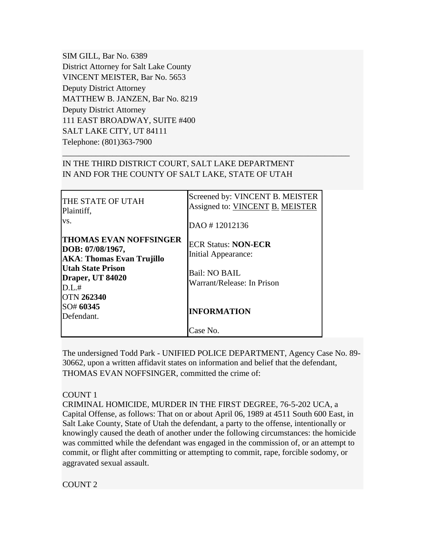SIM GILL, Bar No. 6389 District Attorney for Salt Lake County VINCENT MEISTER, Bar No. 5653 Deputy District Attorney MATTHEW B. JANZEN, Bar No. 8219 Deputy District Attorney 111 EAST BROADWAY, SUITE #400 SALT LAKE CITY, UT 84111 Telephone: (801)363-7900

# IN THE THIRD DISTRICT COURT, SALT LAKE DEPARTMENT IN AND FOR THE COUNTY OF SALT LAKE, STATE OF UTAH

\_\_\_\_\_\_\_\_\_\_\_\_\_\_\_\_\_\_\_\_\_\_\_\_\_\_\_\_\_\_\_\_\_\_\_\_\_\_\_\_\_\_\_\_\_\_\_\_\_\_\_\_\_\_\_\_\_\_\_\_\_\_\_\_\_\_\_\_\_

| THE STATE OF UTAH<br>Plaintiff,<br>VS.                                                                                                                       | Screened by: VINCENT B. MEISTER<br>Assigned to: VINCENT B. MEISTER<br>DAO #12012136              |
|--------------------------------------------------------------------------------------------------------------------------------------------------------------|--------------------------------------------------------------------------------------------------|
| <b>THOMAS EVAN NOFFSINGER</b><br>DOB: 07/08/1967,<br><b>AKA: Thomas Evan Trujillo</b><br>Utah State Prison<br>Draper, UT 84020<br>D.L.#<br><b>OTN 262340</b> | <b>ECR Status: NON-ECR</b><br>Initial Appearance:<br>Bail: NO BAIL<br>Warrant/Release: In Prison |
| SO# 60345<br>Defendant.                                                                                                                                      | <b>INFORMATION</b>                                                                               |
|                                                                                                                                                              | Case No.                                                                                         |

The undersigned Todd Park - UNIFIED POLICE DEPARTMENT, Agency Case No. 89- 30662, upon a written affidavit states on information and belief that the defendant, THOMAS EVAN NOFFSINGER, committed the crime of:

#### COUNT 1

CRIMINAL HOMICIDE, MURDER IN THE FIRST DEGREE, 76-5-202 UCA, a Capital Offense, as follows: That on or about April 06, 1989 at 4511 South 600 East, in Salt Lake County, State of Utah the defendant, a party to the offense, intentionally or knowingly caused the death of another under the following circumstances: the homicide was committed while the defendant was engaged in the commission of, or an attempt to commit, or flight after committing or attempting to commit, rape, forcible sodomy, or aggravated sexual assault.

COUNT 2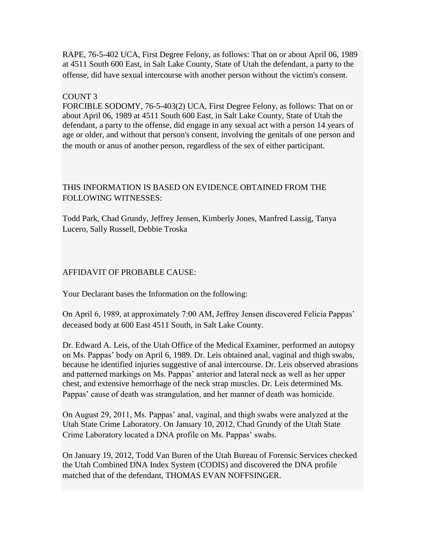RAPE, 76-5-402 UCA, First Degree Felony, as follows: That on or about April 06, 1989 at 4511 South 600 East, in Salt Lake County, State of Utah the defendant, a party to the offense, did have sexual intercourse with another person without the victim's consent.

### COUNT 3

FORCIBLE SODOMY, 76-5-403(2) UCA, First Degree Felony, as follows: That on or about April 06, 1989 at 4511 South 600 East, in Salt Lake County, State of Utah the defendant, a party to the offense, did engage in any sexual act with a person 14 years of age or older, and without that person's consent, involving the genitals of one person and the mouth or anus of another person, regardless of the sex of either participant.

# THIS INFORMATION IS BASED ON EVIDENCE OBTAINED FROM THE FOLLOWING WITNESSES:

Todd Park, Chad Grundy, Jeffrey Jensen, Kimberly Jones, Manfred Lassig, Tanya Lucero, Sally Russell, Debbie Troska

### AFFIDAVIT OF PROBABLE CAUSE:

Your Declarant bases the Information on the following:

On April 6, 1989, at approximately 7:00 AM, Jeffrey Jensen discovered Felicia Pappas' deceased body at 600 East 4511 South, in Salt Lake County.

Dr. Edward A. Leis, of the Utah Office of the Medical Examiner, performed an autopsy on Ms. Pappas' body on April 6, 1989. Dr. Leis obtained anal, vaginal and thigh swabs, because he identified injuries suggestive of anal intercourse. Dr. Leis observed abrasions and patterned markings on Ms. Pappas' anterior and lateral neck as well as her upper chest, and extensive hemorrhage of the neck strap muscles. Dr. Leis determined Ms. Pappas' cause of death was strangulation, and her manner of death was homicide.

On August 29, 2011, Ms. Pappas' anal, vaginal, and thigh swabs were analyzed at the Utah State Crime Laboratory. On January 10, 2012, Chad Grundy of the Utah State Crime Laboratory located a DNA profile on Ms. Pappas' swabs.

On January 19, 2012, Todd Van Buren of the Utah Bureau of Forensic Services checked the Utah Combined DNA Index System (CODIS) and discovered the DNA profile matched that of the defendant, THOMAS EVAN NOFFSINGER.